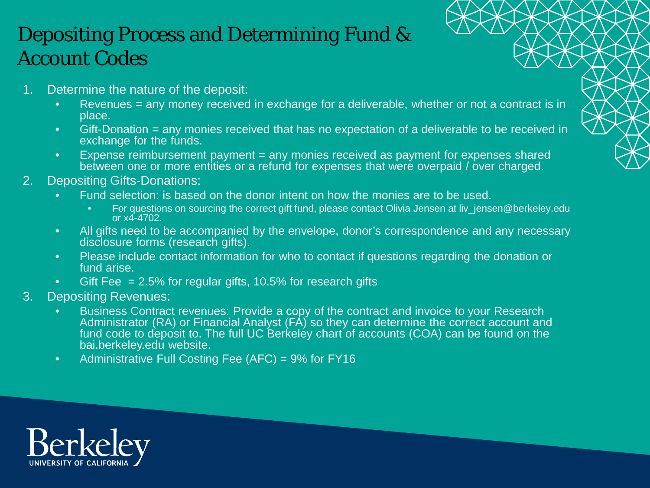## Depositing Process and Determining Fund & Account Codes

- 1. Determine the nature of the deposit:
	- Revenues = any money received in exchange for a deliverable, whether or not a contract is in place.
	- Gift-Donation = any monies received that has no expectation of a deliverable to be received in exchange for the funds.
	- Expense reimbursement payment = any monies received as payment for expenses shared between one or more entities or a refund for expenses that were overpaid / over charged.
- 2. Depositing Gifts-Donations:
	- Fund selection: is based on the donor intent on how the monies are to be used.
		- For questions on sourcing the correct gift fund, please contact Olivia Jensen at liv\_jensen@berkeley.edu or x4-4702.
	- All gifts need to be accompanied by the envelope, donor's correspondence and any necessary disclosure forms (research gifts).
	- Please include contact information for who to contact if questions regarding the donation or fund arise.
	- Gift Fee  $= 2.5\%$  for regular gifts, 10.5% for research gifts
- 3. Depositing Revenues:
	- Business Contract revenues: Provide a copy of the contract and invoice to your Research Administrator (RA) or Financial Analyst (FA) so they can determine the correct account and fund code to deposit to. The full UC Berkeley chart of accounts (COA) can be found on the bai.berkeley.edu website.
	- Administrative Full Costing Fee (AFC) = 9% for FY16